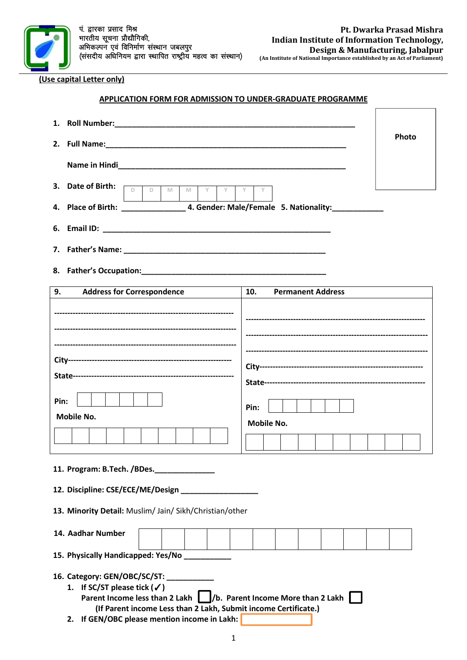

**(Use capital Letter only)**

# **APPLICATION FORM FOR ADMISSION TO UNDER-GRADUATE PROGRAMME**

| 1.                                                                                                                                                                                                                                                                 |                                 |  |  |  |  |  |  |
|--------------------------------------------------------------------------------------------------------------------------------------------------------------------------------------------------------------------------------------------------------------------|---------------------------------|--|--|--|--|--|--|
|                                                                                                                                                                                                                                                                    | Photo                           |  |  |  |  |  |  |
|                                                                                                                                                                                                                                                                    |                                 |  |  |  |  |  |  |
| 3. Date of Birth:<br>$D$ $D$<br>M<br>Y<br>M<br>Y                                                                                                                                                                                                                   | Y<br>Y                          |  |  |  |  |  |  |
|                                                                                                                                                                                                                                                                    |                                 |  |  |  |  |  |  |
|                                                                                                                                                                                                                                                                    |                                 |  |  |  |  |  |  |
|                                                                                                                                                                                                                                                                    |                                 |  |  |  |  |  |  |
|                                                                                                                                                                                                                                                                    |                                 |  |  |  |  |  |  |
| 9.<br><b>Address for Correspondence</b>                                                                                                                                                                                                                            | 10.<br><b>Permanent Address</b> |  |  |  |  |  |  |
|                                                                                                                                                                                                                                                                    |                                 |  |  |  |  |  |  |
|                                                                                                                                                                                                                                                                    |                                 |  |  |  |  |  |  |
|                                                                                                                                                                                                                                                                    |                                 |  |  |  |  |  |  |
| Pin:                                                                                                                                                                                                                                                               | Pin:                            |  |  |  |  |  |  |
| <b>Mobile No.</b>                                                                                                                                                                                                                                                  | <b>Mobile No.</b>               |  |  |  |  |  |  |
|                                                                                                                                                                                                                                                                    |                                 |  |  |  |  |  |  |
| 11. Program: B.Tech. /BDes. ______________                                                                                                                                                                                                                         |                                 |  |  |  |  |  |  |
| 12. Discipline: CSE/ECE/ME/Design                                                                                                                                                                                                                                  |                                 |  |  |  |  |  |  |
| 13. Minority Detail: Muslim/ Jain/ Sikh/Christian/other                                                                                                                                                                                                            |                                 |  |  |  |  |  |  |
| 14. Aadhar Number                                                                                                                                                                                                                                                  |                                 |  |  |  |  |  |  |
| 15. Physically Handicapped: Yes/No _________                                                                                                                                                                                                                       |                                 |  |  |  |  |  |  |
| 16. Category: GEN/OBC/SC/ST:<br>1. If SC/ST please tick $(\checkmark)$<br>Parent Income less than 2 Lakh   /b. Parent Income More than 2 Lakh  <br>(If Parent income Less than 2 Lakh, Submit income Certificate.)<br>2. If GEN/OBC please mention income in Lakh: |                                 |  |  |  |  |  |  |

1